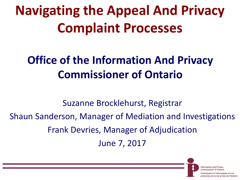# **Navigating the Appeal And Privacy Complaint Processes**

#### **Office of the Information And Privacy Commissioner of Ontario**

Suzanne Brocklehurst, Registrar Shaun Sanderson, Manager of Mediation and Investigations Frank Devries, Manager of Adjudication June 7, 2017

Information and

tion de la vie privée de l'Ontario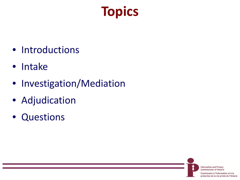# **Topics**

- Introductions
- Intake
- Investigation/Mediation
- Adjudication
- Questions

**Information and Privacy Commissioner of Ontario** 

Commissaire à l'information et à la protection de la vie privée de l'Ontario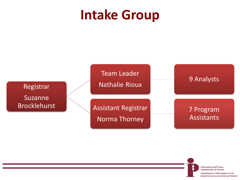#### **Intake Group**



**Information and Privacy Commissioner of Ontario** 

Commissaire à l'information et à la protection de la vie privée de l'Ontario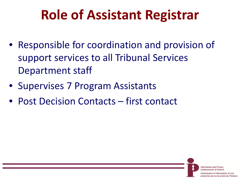## **Role of Assistant Registrar**

- Responsible for coordination and provision of support services to all Tribunal Services Department staff
- Supervises 7 Program Assistants
- Post Decision Contacts first contact

**Information and Privacy** Commissioner of Ontario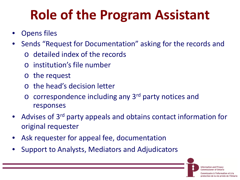# **Role of the Program Assistant**

- Opens files
- Sends "Request for Documentation" asking for the records and
	- o detailed index of the records
	- o institution's file number
	- o the request
	- o the head's decision letter
	- $\circ$  correspondence including any 3<sup>rd</sup> party notices and responses
- Advises of 3<sup>rd</sup> party appeals and obtains contact information for original requester
- Ask requester for appeal fee, documentation
- Support to Analysts, Mediators and Adjudicators

**Information and Privacy Commissioner of Ontario** 

ı l'information et à la protection de la vie privée de l'Ontario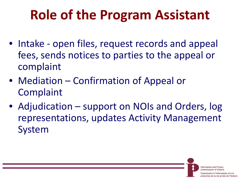# **Role of the Program Assistant**

- Intake open files, request records and appeal fees, sends notices to parties to the appeal or complaint
- Mediation Confirmation of Appeal or **Complaint**
- Adjudication support on NOIs and Orders, log representations, updates Activity Management System

**Information and Privacy** Commissionar of Ontario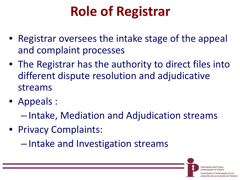# **Role of Registrar**

- Registrar oversees the intake stage of the appeal and complaint processes
- The Registrar has the authority to direct files into different dispute resolution and adjudicative streams
- Appeals :
	- Intake, Mediation and Adjudication streams
- Privacy Complaints:

– Intake and Investigation streams

**Information and Privacy** Commissionar of Ontario

l'information et à la ection de la vie privée de l'Ontario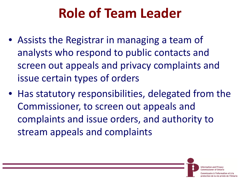# **Role of Team Leader**

- Assists the Registrar in managing a team of analysts who respond to public contacts and screen out appeals and privacy complaints and issue certain types of orders
- Has statutory responsibilities, delegated from the Commissioner, to screen out appeals and complaints and issue orders, and authority to stream appeals and complaints

**Information and Privacy** 

<sup>&#</sup>x27;information et à la tion de la vie privée de l'Ontario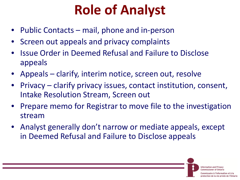# **Role of Analyst**

- Public Contacts mail, phone and in-person
- Screen out appeals and privacy complaints
- Issue Order in Deemed Refusal and Failure to Disclose appeals
- Appeals clarify, interim notice, screen out, resolve
- Privacy clarify privacy issues, contact institution, consent, Intake Resolution Stream, Screen out
- Prepare memo for Registrar to move file to the investigation stream
- Analyst generally don't narrow or mediate appeals, except in Deemed Refusal and Failure to Disclose appeals

**Information and Privacy** Commissionar of Ontario

à l'information et à la protection de la vie privée de l'Ontario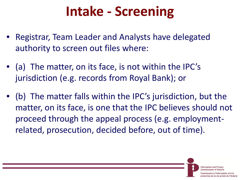### **Intake - Screening**

- Registrar, Team Leader and Analysts have delegated authority to screen out files where:
- (a) The matter, on its face, is not within the IPC's jurisdiction (e.g. records from Royal Bank); or
- (b) The matter falls within the IPC's jurisdiction, but the matter, on its face, is one that the IPC believes should not proceed through the appeal process (e.g. employmentrelated, prosecution, decided before, out of time).

Information and

<sup>&#</sup>x27;information et à la ection de la vie privée de l'Ontario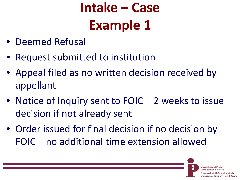# **Intake – Case Example 1**

- Deemed Refusal
- Request submitted to institution
- Appeal filed as no written decision received by appellant
- Notice of Inquiry sent to FOIC 2 weeks to issue decision if not already sent
- Order issued for final decision if no decision by FOIC – no additional time extension allowed

Information and Pr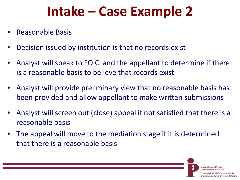#### **Intake – Case Example 2**

- Reasonable Basis
- Decision issued by institution is that no records exist
- Analyst will speak to FOIC and the appellant to determine if there is a reasonable basis to believe that records exist
- Analyst will provide preliminary view that no reasonable basis has been provided and allow appellant to make written submissions
- Analyst will screen out (close) appeal if not satisfied that there is a reasonable basis
- The appeal will move to the mediation stage if it is determined that there is a reasonable basis

Information and

protection de la vie privée de l'Ontario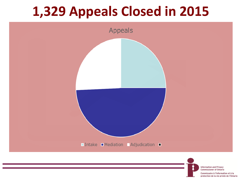#### **1,329 Appeals Closed in 2015**



Commissaire à l'information et à la protection de la vie privée de l'Ontario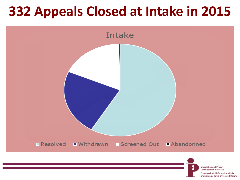#### **332 Appeals Closed at Intake in 2015**

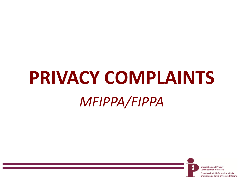# **PRIVACY COMPLAINTS** *MFIPPA/FIPPA*

**Information and Privacy Commissioner of Ontario** 

Commissaire à l'information et à la protection de la vie privée de l'Ontario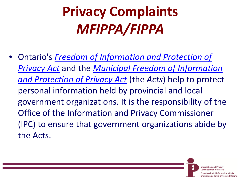# **Privacy Complaints** *MFIPPA/FIPPA*

• Ontario's *[Freedom of Information and Protection of](http://www.e-laws.gov.on.ca/DBLaws/Statutes/English/90f31_e.htm)  Privacy Act* and the *[Municipal Freedom of Information](http://www.e-laws.gov.on.ca/DBLaws/Statutes/English/90m56_e.htm)  and Protection of Privacy Act* (the *Acts*) help to protect personal information held by provincial and local government organizations. It is the responsibility of the Office of the Information and Privacy Commissioner (IPC) to ensure that government organizations abide by the Acts.

> **Information and Privacy Commissioner of Ontario**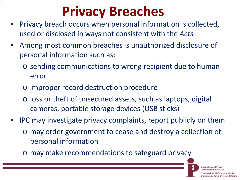# **Privacy Breaches**

- Privacy breach occurs when personal information is collected, used or disclosed in ways not consistent with the *Acts*
- Among most common breaches is unauthorized disclosure of personal information such as:
	- o sending communications to wrong recipient due to human error
	- o improper record destruction procedure

7

- o loss or theft of unsecured assets, such as laptops, digital cameras, portable storage devices (USB sticks)
- IPC may investigate privacy complaints, report publicly on them o may order government to cease and destroy a collection of personal information
	- o may make recommendations to safeguard privacy

**Information and Privacy Commissioner of Ontario** 

aire à l'information et à la protection de la vie privée de l'Ontario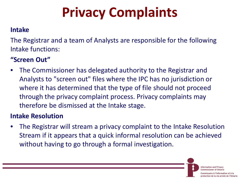# **Privacy Complaints**

#### **Intake**

The Registrar and a team of Analysts are responsible for the following Intake functions:

#### **"Screen Out"**

• The Commissioner has delegated authority to the Registrar and Analysts to "screen out" files where the IPC has no jurisdiction or where it has determined that the type of file should not proceed through the privacy complaint process. Privacy complaints may therefore be dismissed at the Intake stage.

#### **Intake Resolution**

• The Registrar will stream a privacy complaint to the Intake Resolution Stream if it appears that a quick informal resolution can be achieved without having to go through a formal investigation.

> **Information and Privacy Commissioner of Ontario**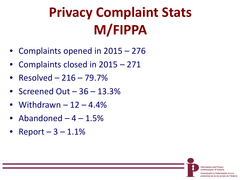# **Privacy Complaint Stats M/FIPPA**

- Complaints opened in 2015 276
- Complaints closed in 2015 271
- Resolved 216 79.7%
- Screened Out 36 13.3%
- Withdrawn  $-12 4.4\%$
- Abandoned  $-4-1.5%$
- $Report 3 1.1%$

**Information and Privacy Commissioner of Ontario** 

saire à l'information et à la protection de la vie privée de l'Ontario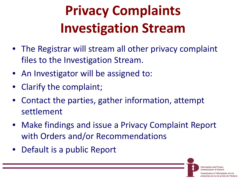# **Privacy Complaints Investigation Stream**

- The Registrar will stream all other privacy complaint files to the Investigation Stream.
- An Investigator will be assigned to:
- Clarify the complaint;
- Contact the parties, gather information, attempt settlement
- Make findings and issue a Privacy Complaint Report with Orders and/or Recommendations
- Default is a public Report

**Information and Privacy** Commissionar of Ontario

l'information et à la protection de la vie privée de l'Ontario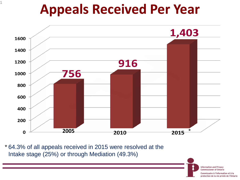#### **Appeals Received Per Year**



64.3% of all appeals received in 2015 were resolved at the \*Intake stage (25%) or through Mediation (49.3%)

> **Information and Privacy Commissioner of Ontario**

Commissaire à l'information et à la protection de la vie privée de l'Ontario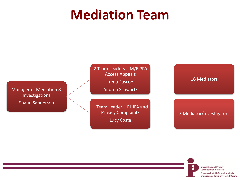#### **Mediation Team**



**Information and Privacy Commissioner of Ontario** 

Commissaire à l'information et à la protection de la vie privée de l'Ontario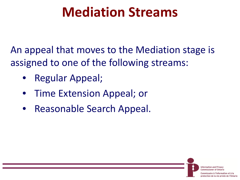#### **Mediation Streams**

An appeal that moves to the Mediation stage is assigned to one of the following streams:

> **Information and Privacy Commissioner of Ontario**

ire à l'information et à la protection de la vie privée de l'Ontario

- Regular Appeal;
- Time Extension Appeal; or
- Reasonable Search Appeal.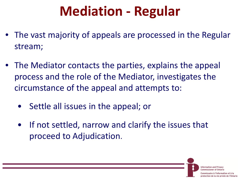### **Mediation - Regular**

- The vast majority of appeals are processed in the Regular stream;
- The Mediator contacts the parties, explains the appeal process and the role of the Mediator, investigates the circumstance of the appeal and attempts to:
	- Settle all issues in the appeal; or
	- If not settled, narrow and clarify the issues that proceed to Adjudication.

Information and P

ection de la vie privée de l'Ontario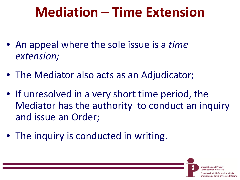#### **Mediation – Time Extension**

- An appeal where the sole issue is a *time extension;*
- The Mediator also acts as an Adjudicator;
- If unresolved in a very short time period, the Mediator has the authority to conduct an inquiry and issue an Order;
- The inquiry is conducted in writing.

Information and

ion de la vie privée de l'Ontario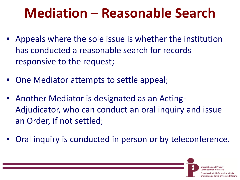#### **Mediation – Reasonable Search**

- Appeals where the sole issue is whether the institution has conducted a reasonable search for records responsive to the request;
- One Mediator attempts to settle appeal;
- Another Mediator is designated as an Acting-Adjudicator, who can conduct an oral inquiry and issue an Order, if not settled;
- Oral inquiry is conducted in person or by teleconference.

Information and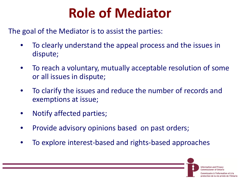### **Role of Mediator**

The goal of the Mediator is to assist the parties:

- To clearly understand the appeal process and the issues in dispute;
- To reach a voluntary, mutually acceptable resolution of some or all issues in dispute;
- To clarify the issues and reduce the number of records and exemptions at issue;
- Notify affected parties;
- Provide advisory opinions based on past orders;
- To explore interest-based and rights-based approaches

Information and

protection de la vie privée de l'Ontario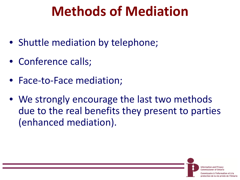#### **Methods of Mediation**

- Shuttle mediation by telephone;
- Conference calls;
- Face-to-Face mediation;
- We strongly encourage the last two methods due to the real benefits they present to parties (enhanced mediation).

Information and P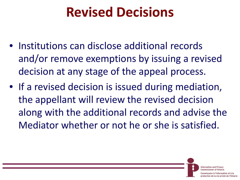#### **Revised Decisions**

- Institutions can disclose additional records and/or remove exemptions by issuing a revised decision at any stage of the appeal process.
- If a revised decision is issued during mediation, the appellant will review the revised decision along with the additional records and advise the Mediator whether or not he or she is satisfied.

**Information and Privacy** 

'information et à la tion de la vie privée de l'Ontario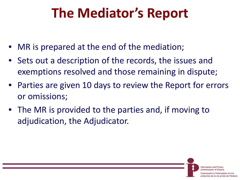#### **The Mediator's Report**

- MR is prepared at the end of the mediation;
- Sets out a description of the records, the issues and exemptions resolved and those remaining in dispute;
- Parties are given 10 days to review the Report for errors or omissions;
- The MR is provided to the parties and, if moving to adjudication, the Adjudicator.

**Information and Privacy**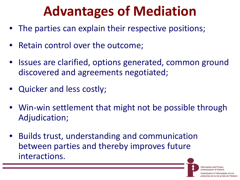### **Advantages of Mediation**

- The parties can explain their respective positions;
- Retain control over the outcome;
- Issues are clarified, options generated, common ground discovered and agreements negotiated;
- Quicker and less costly;
- Win-win settlement that might not be possible through Adjudication;
- Builds trust, understanding and communication between parties and thereby improves future interactions.

**Information and Privacy** 

l'information et à la protection de la vie privée de l'Ontario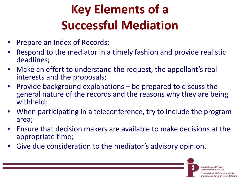# **Key Elements of a Successful Mediation**

- Prepare an Index of Records;
- Respond to the mediator in a timely fashion and provide realistic deadlines;
- Make an effort to understand the request, the appellant's real interests and the proposals;
- Provide background explanations  $-$  be prepared to discuss the general nature of the records and the reasons why they are being withheld;
- When participating in a teleconference, try to include the program area;
- Ensure that decision makers are available to make decisions at the appropriate time;
- Give due consideration to the mediator's advisory opinion.

Information and P Commissioner of Ontaria

l'information et à la protection de la vie privée de l'Ontario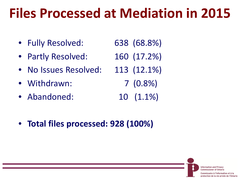### **Files Processed at Mediation in 2015**

- Fully Resolved: 638 (68.8%)
- Partly Resolved: 160 (17.2%)
- No Issues Resolved: 113 (12.1%)
- Withdrawn: 7 (0.8%)
- Abandoned: 10 (1.1%)
- **Total files processed: 928 (100%)**

**Information and Privacy Commissioner of Ontario** 

aire à l'information et à la protection de la vie privée de l'Ontario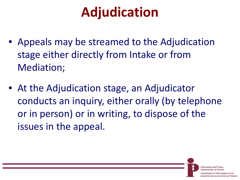# **Adjudication**

- Appeals may be streamed to the Adjudication stage either directly from Intake or from Mediation;
- At the Adjudication stage, an Adjudicator conducts an inquiry, either orally (by telephone or in person) or in writing, to dispose of the issues in the appeal.

**Information and Privacy** Commissionar of Ontario

e à l'information et à la ection de la vie privée de l'Ontario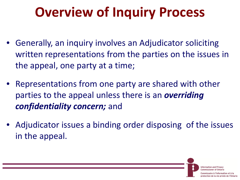# **Overview of Inquiry Process**

- Generally, an inquiry involves an Adjudicator soliciting written representations from the parties on the issues in the appeal, one party at a time;
- Representations from one party are shared with other parties to the appeal unless there is an *overriding confidentiality concern;* and
- Adjudicator issues a binding order disposing of the issues in the appeal.

Information and P

l'information et à la protection de la vie privée de l'Ontario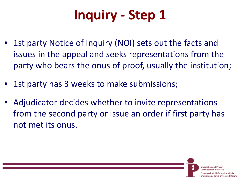# **Inquiry - Step 1**

- 1st party Notice of Inquiry (NOI) sets out the facts and issues in the appeal and seeks representations from the party who bears the onus of proof, usually the institution;
- 1st party has 3 weeks to make submissions;
- Adjudicator decides whether to invite representations from the second party or issue an order if first party has not met its onus.

**Information and Privacy** 

ı l'information et à la protection de la vie privée de l'Ontario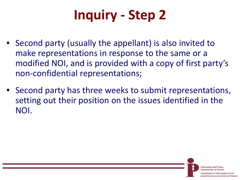# **Inquiry - Step 2**

- Second party (usually the appellant) is also invited to make representations in response to the same or a modified NOI, and is provided with a copy of first party's non-confidential representations;
- Second party has three weeks to submit representations, setting out their position on the issues identified in the NOI.

**Information and Privacy Commissioner of Ontario** 

saire à l'information et à la protection de la vie privée de l'Ontario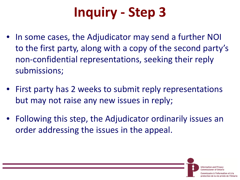# **Inquiry - Step 3**

- In some cases, the Adjudicator may send a further NOI to the first party, along with a copy of the second party's non-confidential representations, seeking their reply submissions;
- First party has 2 weeks to submit reply representations but may not raise any new issues in reply;
- Following this step, the Adjudicator ordinarily issues an order addressing the issues in the appeal.

**Information and Privacy** Commissionar of Ontario

re à l'information et à la protection de la vie privée de l'Ontario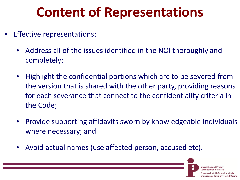# **Content of Representations**

- Effective representations:
	- Address all of the issues identified in the NOI thoroughly and completely;
	- Highlight the confidential portions which are to be severed from the version that is shared with the other party, providing reasons for each severance that connect to the confidentiality criteria in the Code;
	- Provide supporting affidavits sworn by knowledgeable individuals where necessary; and
	- Avoid actual names (use affected person, accused etc).

Information and P

protection de la vie privée de l'Ontario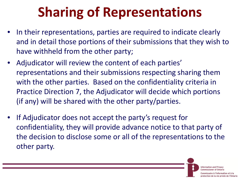# **Sharing of Representations**

- In their representations, parties are required to indicate clearly and in detail those portions of their submissions that they wish to have withheld from the other party;
- Adjudicator will review the content of each parties' representations and their submissions respecting sharing them with the other parties. Based on the confidentiality criteria in Practice Direction 7, the Adjudicator will decide which portions (if any) will be shared with the other party/parties.
- If Adjudicator does not accept the party's request for confidentiality, they will provide advance notice to that party of the decision to disclose some or all of the representations to the other party.

**Information and Privacy Commissioner of Ontario** 

re à l'information et à la protection de la vie privée de l'Ontario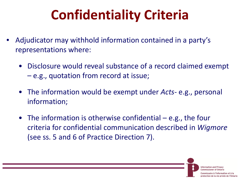# **Confidentiality Criteria**

- Adjudicator may withhold information contained in a party's representations where:
	- Disclosure would reveal substance of a record claimed exempt – e.g., quotation from record at issue;
	- The information would be exempt under *Acts* e.g., personal information;
	- The information is otherwise confidential e.g., the four criteria for confidential communication described in *Wigmore* (see ss. 5 and 6 of Practice Direction 7).

Information and Pr

protection de la vie privée de l'Ontario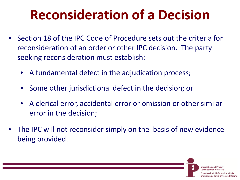## **Reconsideration of a Decision**

- Section 18 of the IPC Code of Procedure sets out the criteria for reconsideration of an order or other IPC decision. The party seeking reconsideration must establish:
	- A fundamental defect in the adjudication process;
	- Some other jurisdictional defect in the decision; or
	- A clerical error, accidental error or omission or other similar error in the decision;
- The IPC will not reconsider simply on the basis of new evidence being provided.

Information and

ection de la vie privée de l'Ontario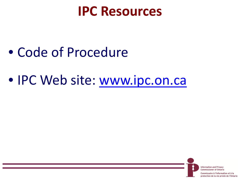#### **IPC Resources**

- Code of Procedure
- IPC Web site: www.ipc.on.ca

**Information and Privacy Commissioner of Ontario** 

saire à l'information et à la protection de la vie privée de l'Ontario